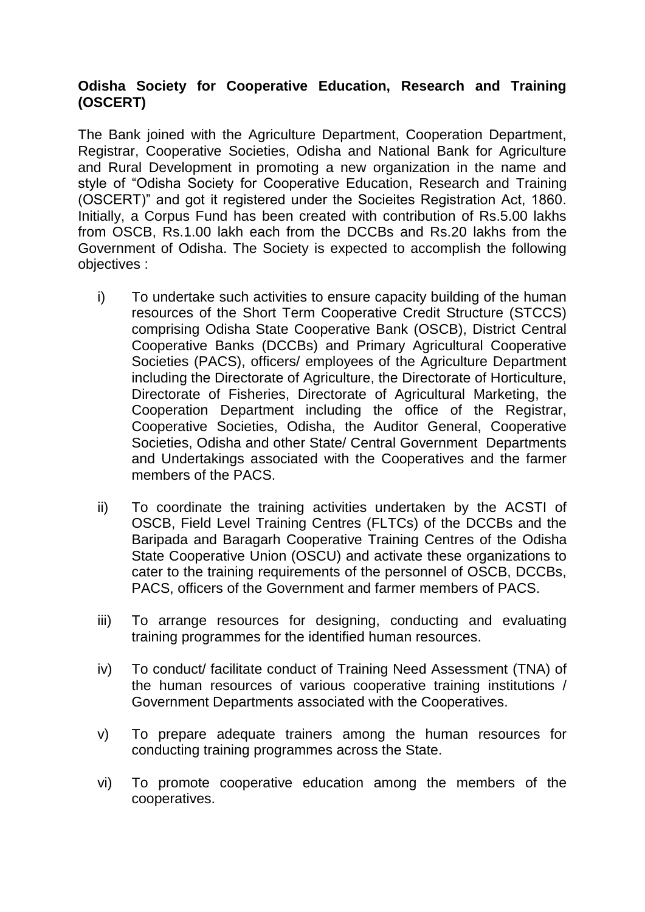## **Odisha Society for Cooperative Education, Research and Training (OSCERT)**

The Bank joined with the Agriculture Department, Cooperation Department, Registrar, Cooperative Societies, Odisha and National Bank for Agriculture and Rural Development in promoting a new organization in the name and style of "Odisha Society for Cooperative Education, Research and Training (OSCERT)" and got it registered under the Socieites Registration Act, 1860. Initially, a Corpus Fund has been created with contribution of Rs.5.00 lakhs from OSCB, Rs.1.00 lakh each from the DCCBs and Rs.20 lakhs from the Government of Odisha. The Society is expected to accomplish the following objectives :

- i) To undertake such activities to ensure capacity building of the human resources of the Short Term Cooperative Credit Structure (STCCS) comprising Odisha State Cooperative Bank (OSCB), District Central Cooperative Banks (DCCBs) and Primary Agricultural Cooperative Societies (PACS), officers/ employees of the Agriculture Department including the Directorate of Agriculture, the Directorate of Horticulture, Directorate of Fisheries, Directorate of Agricultural Marketing, the Cooperation Department including the office of the Registrar, Cooperative Societies, Odisha, the Auditor General, Cooperative Societies, Odisha and other State/ Central Government Departments and Undertakings associated with the Cooperatives and the farmer members of the PACS.
- ii) To coordinate the training activities undertaken by the ACSTI of OSCB, Field Level Training Centres (FLTCs) of the DCCBs and the Baripada and Baragarh Cooperative Training Centres of the Odisha State Cooperative Union (OSCU) and activate these organizations to cater to the training requirements of the personnel of OSCB, DCCBs, PACS, officers of the Government and farmer members of PACS.
- iii) To arrange resources for designing, conducting and evaluating training programmes for the identified human resources.
- iv) To conduct/ facilitate conduct of Training Need Assessment (TNA) of the human resources of various cooperative training institutions / Government Departments associated with the Cooperatives.
- v) To prepare adequate trainers among the human resources for conducting training programmes across the State.
- vi) To promote cooperative education among the members of the cooperatives.